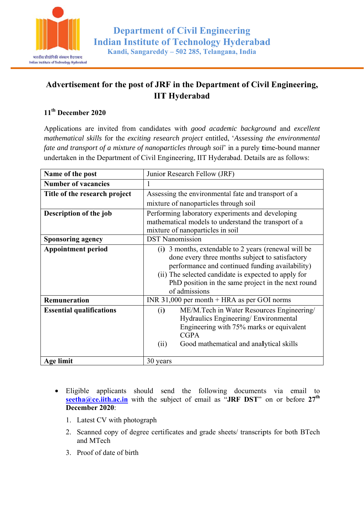

## Advertisement for the post of JRF in the Department of Civil Engineering, **IIT Hyderabad**

## 11<sup>th</sup> December 2020

Applications are invited from candidates with good academic background and excellent mathematical skills for the exciting research project entitled, 'Assessing the environmental fate and transport of a mixture of nanoparticles through soil' in a purely time-bound manner undertaken in the Department of Civil Engineering, IIT Hyderabad. Details are as follows:

| Name of the post                | Junior Research Fellow (JRF)                                                                                                                                                                                                                                                                 |
|---------------------------------|----------------------------------------------------------------------------------------------------------------------------------------------------------------------------------------------------------------------------------------------------------------------------------------------|
| <b>Number of vacancies</b>      | 1                                                                                                                                                                                                                                                                                            |
| Title of the research project   | Assessing the environmental fate and transport of a                                                                                                                                                                                                                                          |
|                                 | mixture of nanoparticles through soil                                                                                                                                                                                                                                                        |
| Description of the job          | Performing laboratory experiments and developing<br>mathematical models to understand the transport of a<br>mixture of nanoparticles in soil                                                                                                                                                 |
| <b>Sponsoring agency</b>        | <b>DST Nanomission</b>                                                                                                                                                                                                                                                                       |
| <b>Appointment period</b>       | 3 months, extendable to 2 years (renewal will be<br>(1)<br>done every three months subject to satisfactory<br>performance and continued funding availability)<br>(ii) The selected candidate is expected to apply for<br>PhD position in the same project in the next round<br>of admissions |
| <b>Remuneration</b>             | INR 31,000 per month $+$ HRA as per GOI norms                                                                                                                                                                                                                                                |
| <b>Essential qualifications</b> | ME/M.Tech in Water Resources Engineering/<br>(i)<br>Hydraulics Engineering/Environmental<br>Engineering with 75% marks or equivalent<br><b>CGPA</b><br>Good mathematical and analytical skills<br>(ii)                                                                                       |
| Age limit                       | 30 years                                                                                                                                                                                                                                                                                     |

- Eligible applicants should send the following documents via email to seetha@ce.iith.ac.in with the subject of email as "JRF DST" on or before  $27<sup>th</sup>$ December 2020:
	- 1. Latest CV with photograph
	- 2. Scanned copy of degree certificates and grade sheets/ transcripts for both BTech and MTech
	- 3. Proof of date of birth